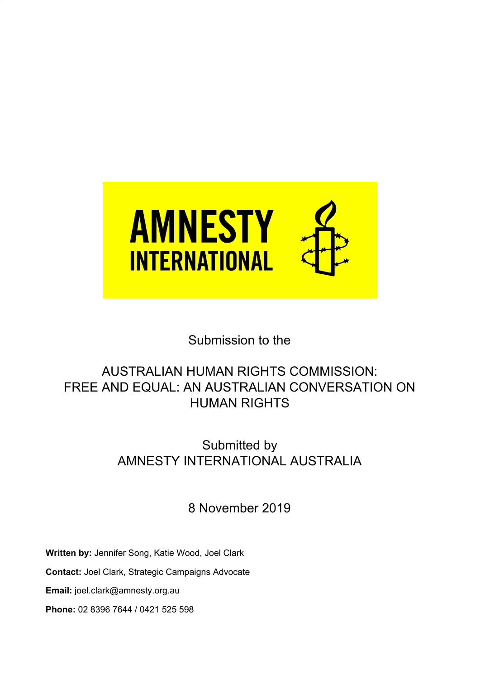

# Submission to the

# AUSTRALIAN HUMAN RIGHTS COMMISSION: FREE AND EQUAL: AN AUSTRALIAN CONVERSATION ON HUMAN RIGHTS

# Submitted by AMNESTY INTERNATIONAL AUSTRALIA

8 November 2019

**Written by:** Jennifer Song, Katie Wood, Joel Clark

**Contact:** Joel Clark, Strategic Campaigns Advocate

**Email:** joel.clark@amnesty.org.au

**Phone:** 02 8396 7644 / 0421 525 598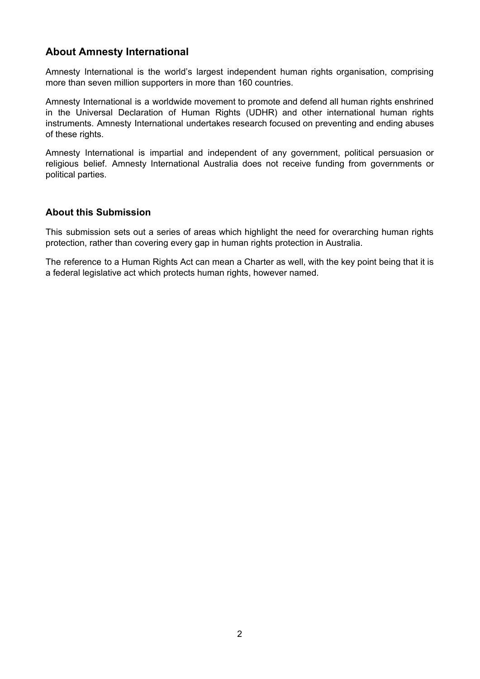# **About Amnesty International**

Amnesty International is the world's largest independent human rights organisation, comprising more than seven million supporters in more than 160 countries.

Amnesty International is a worldwide movement to promote and defend all human rights enshrined in the Universal Declaration of Human Rights (UDHR) and other international human rights instruments. Amnesty International undertakes research focused on preventing and ending abuses of these rights.

Amnesty International is impartial and independent of any government, political persuasion or religious belief. Amnesty International Australia does not receive funding from governments or political parties.

## **About this Submission**

This submission sets out a series of areas which highlight the need for overarching human rights protection, rather than covering every gap in human rights protection in Australia.

The reference to a Human Rights Act can mean a Charter as well, with the key point being that it is a federal legislative act which protects human rights, however named.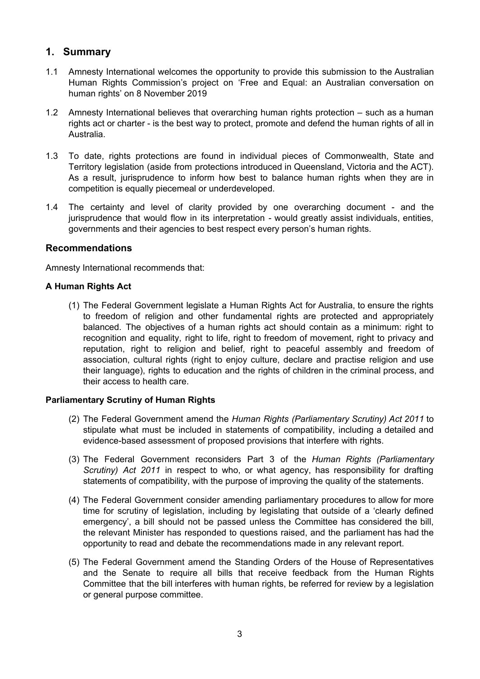## **1. Summary**

- 1.1 Amnesty International welcomes the opportunity to provide this submission to the Australian Human Rights Commission's project on 'Free and Equal: an Australian conversation on human rights' on 8 November 2019
- 1.2 Amnesty International believes that overarching human rights protection such as a human rights act or charter - is the best way to protect, promote and defend the human rights of all in Australia.
- 1.3 To date, rights protections are found in individual pieces of Commonwealth, State and Territory legislation (aside from protections introduced in Queensland, Victoria and the ACT). As a result, jurisprudence to inform how best to balance human rights when they are in competition is equally piecemeal or underdeveloped.
- 1.4 The certainty and level of clarity provided by one overarching document and the jurisprudence that would flow in its interpretation - would greatly assist individuals, entities, governments and their agencies to best respect every person's human rights.

## **Recommendations**

Amnesty International recommends that:

#### **A Human Rights Act**

(1) The Federal Government legislate a Human Rights Act for Australia, to ensure the rights to freedom of religion and other fundamental rights are protected and appropriately balanced. The objectives of a human rights act should contain as a minimum: right to recognition and equality, right to life, right to freedom of movement, right to privacy and reputation, right to religion and belief, right to peaceful assembly and freedom of association, cultural rights (right to enjoy culture, declare and practise religion and use their language), rights to education and the rights of children in the criminal process, and their access to health care.

#### **Parliamentary Scrutiny of Human Rights**

- (2) The Federal Government amend the *Human Rights (Parliamentary Scrutiny) Act 2011* to stipulate what must be included in statements of compatibility, including a detailed and evidence-based assessment of proposed provisions that interfere with rights.
- (3) The Federal Government reconsiders Part 3 of the *Human Rights (Parliamentary Scrutiny) Act 2011* in respect to who, or what agency, has responsibility for drafting statements of compatibility, with the purpose of improving the quality of the statements.
- (4) The Federal Government consider amending parliamentary procedures to allow for more time for scrutiny of legislation, including by legislating that outside of a 'clearly defined emergency', a bill should not be passed unless the Committee has considered the bill, the relevant Minister has responded to questions raised, and the parliament has had the opportunity to read and debate the recommendations made in any relevant report.
- (5) The Federal Government amend the Standing Orders of the House of Representatives and the Senate to require all bills that receive feedback from the Human Rights Committee that the bill interferes with human rights, be referred for review by a legislation or general purpose committee.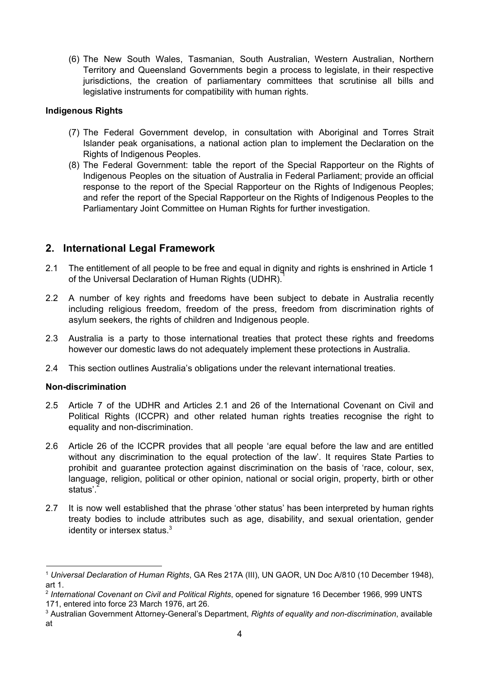(6) The New South Wales, Tasmanian, South Australian, Western Australian, Northern Territory and Queensland Governments begin a process to legislate, in their respective jurisdictions, the creation of parliamentary committees that scrutinise all bills and legislative instruments for compatibility with human rights.

#### **Indigenous Rights**

- (7) The Federal Government develop, in consultation with Aboriginal and Torres Strait Islander peak organisations, a national action plan to implement the Declaration on the Rights of Indigenous Peoples.
- (8) The Federal Government: table the report of the Special Rapporteur on the Rights of Indigenous Peoples on the situation of Australia in Federal Parliament; provide an official response to the report of the Special Rapporteur on the Rights of Indigenous Peoples; and refer the report of the Special Rapporteur on the Rights of Indigenous Peoples to the Parliamentary Joint Committee on Human Rights for further investigation.

## **2. International Legal Framework**

- 2.1 The entitlement of all people to be free and equal in dignity and rights is enshrined in Article 1 of the Universal Declaration of Human Rights (UDHR).
- 2.2 A number of key rights and freedoms have been subject to debate in Australia recently including religious freedom, freedom of the press, freedom from discrimination rights of asylum seekers, the rights of children and Indigenous people.
- 2.3 Australia is a party to those international treaties that protect these rights and freedoms however our domestic laws do not adequately implement these protections in Australia.
- 2.4 This section outlines Australia's obligations under the relevant international treaties.

#### **Non-discrimination**

- 2.5 Article 7 of the UDHR and Articles 2.1 and 26 of the International Covenant on Civil and Political Rights (ICCPR) and other related human rights treaties recognise the right to equality and non-discrimination.
- 2.6 Article 26 of the ICCPR provides that all people 'are equal before the law and are entitled without any discrimination to the equal protection of the law'. It requires State Parties to prohibit and guarantee protection against discrimination on the basis of 'race, colour, sex, language, religion, political or other opinion, national or social origin, property, birth or other status'. 2
- 2.7 It is now well established that the phrase 'other status' has been interpreted by human rights treaty bodies to include attributes such as age, disability, and sexual orientation, gender identity or intersex status. $3$

<sup>1</sup> *Universal Declaration of Human Rights*, GA Res 217A (III), UN GAOR, UN Doc A/810 (10 December 1948), art 1.

<sup>2</sup> *International Covenant on Civil and Political Rights*, opened for signature 16 December 1966, 999 UNTS 171, entered into force 23 March 1976, art 26.

<sup>3</sup> Australian Government Attorney-General's Department, *Rights of equality and non-discrimination*, available at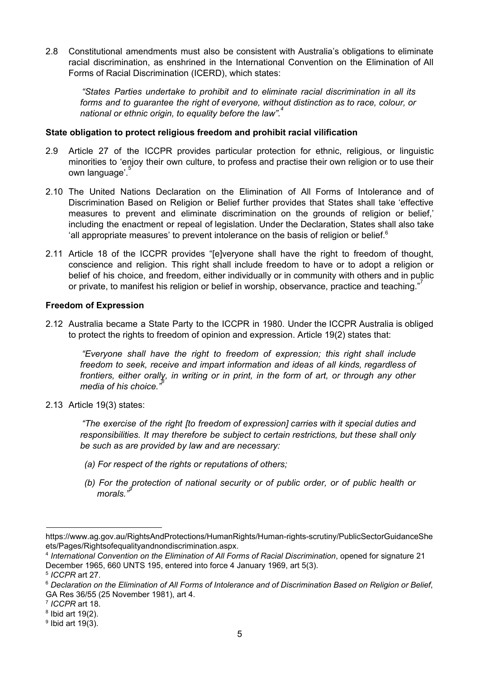2.8 Constitutional amendments must also be consistent with Australia's obligations to eliminate racial discrimination, as enshrined in the International Convention on the Elimination of All Forms of Racial Discrimination (ICERD), which states:

*"States Parties undertake to prohibit and to eliminate racial discrimination in all its forms and to guarantee the right of everyone, without distinction as to race, colour, or national or ethnic origin, to equality before the law". 4*

#### **State obligation to protect religious freedom and prohibit racial vilification**

- 2.9 Article 27 of the ICCPR provides particular protection for ethnic, religious, or linguistic minorities to 'enjoy their own culture, to profess and practise their own religion or to use their own language'.<sup>5</sup>
- 2.10 The United Nations Declaration on the Elimination of All Forms of Intolerance and of Discrimination Based on Religion or Belief further provides that States shall take 'effective measures to prevent and eliminate discrimination on the grounds of religion or belief,' including the enactment or repeal of legislation. Under the Declaration, States shall also take 'all appropriate measures' to prevent intolerance on the basis of religion or belief. $6$
- 2.11 Article 18 of the ICCPR provides "[e]veryone shall have the right to freedom of thought, conscience and religion. This right shall include freedom to have or to adopt a religion or belief of his choice, and freedom, either individually or in community with others and in public or private, to manifest his religion or belief in worship, observance, practice and teaching."

#### **Freedom of Expression**

2.12 Australia became a State Party to the ICCPR in 1980. Under the ICCPR Australia is obliged to protect the rights to freedom of opinion and expression. Article 19(2) states that:

*"Everyone shall have the right to freedom of expression; this right shall include freedom to seek, receive and impart information and ideas of all kinds, regardless of frontiers, either orally, in writing or in print, in the form of art, or through any other media of his choice." 8*

2.13 Article 19(3) states:

*"The exercise of the right [to freedom of expression] carries with it special duties and responsibilities. It may therefore be subject to certain restrictions, but these shall only be such as are provided by law and are necessary:*

- *(a) For respect of the rights or reputations of others;*
- *(b) For the protection of national security or of public order, or of public health or morals." 9*

https://www.ag.gov.au/RightsAndProtections/HumanRights/Human-rights-scrutiny/PublicSectorGuidanceShe ets/Pages/Rightsofequalityandnondiscrimination.aspx.

<sup>4</sup> *International Convention on the Elimination of All Forms of Racial Discrimination*, opened for signature 21 December 1965, 660 UNTS 195, entered into force 4 January 1969, art 5(3).

<sup>5</sup> *ICCPR* art 27.

<sup>&</sup>lt;sup>6</sup> Declaration on the Elimination of All Forms of Intolerance and of Discrimination Based on Religion or Belief, GA Res 36/55 (25 November 1981), art 4.

<sup>7</sup> *ICCPR* art 18.

 $8$  lbid art 19 $(2)$ .

 $9$  lbid art 19(3).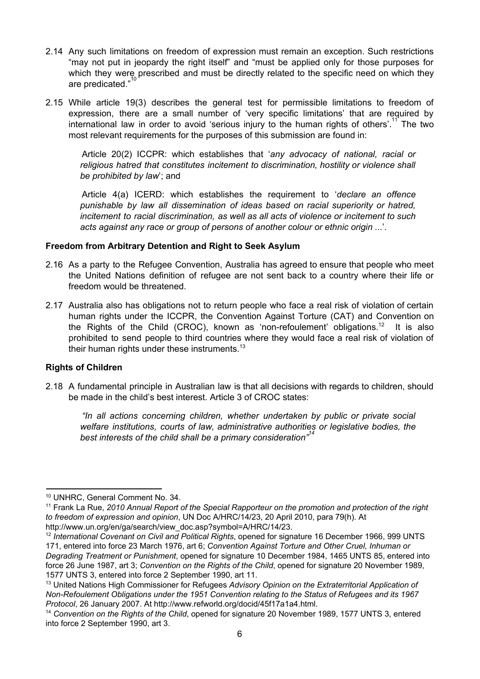- 2.14 Any such limitations on freedom of expression must remain an exception. Such restrictions "may not put in jeopardy the right itself" and "must be applied only for those purposes for which they were prescribed and must be directly related to the specific need on which they are predicated." 10
- 2.15 While article 19(3) describes the general test for permissible limitations to freedom of expression, there are a small number of 'very specific limitations' that are required by international law in order to avoid 'serious injury to the human rights of others'.<sup>11</sup> The two most relevant requirements for the purposes of this submission are found in:

Article 20(2) ICCPR: which establishes that '*any advocacy of national, racial or religious hatred that constitutes incitement to discrimination, hostility or violence shall be prohibited by law*'; and

Article 4(a) ICERD: which establishes the requirement to '*declare an offence punishable by law all dissemination of ideas based on racial superiority or hatred, incitement to racial discrimination, as well as all acts of violence or incitement to such acts against any race or group of persons of another colour or ethnic origin ...*'.

#### **Freedom from Arbitrary Detention and Right to Seek Asylum**

- 2.16 As a party to the Refugee Convention, Australia has agreed to ensure that people who meet the United Nations definition of refugee are not sent back to a country where their life or freedom would be threatened.
- 2.17 Australia also has obligations not to return people who face a real risk of violation of certain human rights under the ICCPR, the Convention Against Torture (CAT) and Convention on the Rights of the Child (CROC), known as 'non-refoulement' obligations.<sup>12</sup> It is also prohibited to send people to third countries where they would face a real risk of violation of their human rights under these instruments.<sup>13</sup>

### **Rights of Children**

2.18 A fundamental principle in Australian law is that all decisions with regards to children, should be made in the child's best interest. Article 3 of CROC states:

*"In all actions concerning children, whether undertaken by public or private social welfare institutions, courts of law, administrative authorities or legislative bodies, the best interests of the child shall be a primary consideration" 14*

<sup>10</sup> UNHRC, General Comment No. 34.

<sup>11</sup> Frank La Rue, *2010 Annual Report of the Special Rapporteur on the promotion and protection of the right to freedom of expression and opinion*, UN Doc A/HRC/14/23, 20 April 2010, para 79(h). At http://www.un.org/en/ga/search/view\_doc.asp?symbol=A/HRC/14/23.

<sup>12</sup> *International Covenant on Civil and Political Rights*, opened for signature 16 December 1966, 999 UNTS 171, entered into force 23 March 1976, art 6; *Convention Against Torture and Other Cruel, Inhuman or Degrading Treatment or Punishment*, opened for signature 10 December 1984, 1465 UNTS 85, entered into force 26 June 1987, art 3; *Convention on the Rights of the Child*, opened for signature 20 November 1989, 1577 UNTS 3, entered into force 2 September 1990, art 11.

<sup>13</sup> United Nations High Commissioner for Refugees *Advisory Opinion on the Extraterritorial Application of Non-Refoulement Obligations under the 1951 Convention relating to the Status of Refugees and its 1967 Protocol*, 26 January 2007. At http://www.refworld.org/docid/45f17a1a4.html.

<sup>14</sup> *Convention on the Rights of the Child*, opened for signature 20 November 1989, 1577 UNTS 3, entered into force 2 September 1990, art 3.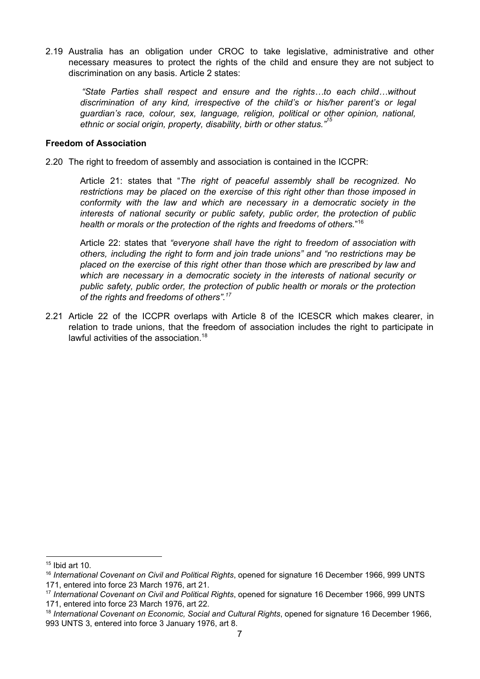2.19 Australia has an obligation under CROC to take legislative, administrative and other necessary measures to protect the rights of the child and ensure they are not subject to discrimination on any basis. Article 2 states:

*"State Parties shall respect and ensure and the rights…to each child…without discrimination of any kind, irrespective of the child's or his/her parent's or legal guardian's race, colour, sex, language, religion, political or other opinion, national, ethnic or social origin, property, disability, birth or other status." 15*

#### **Freedom of Association**

2.20 The right to freedom of assembly and association is contained in the ICCPR:

Article 21: states that "*The right of peaceful assembly shall be recognized. No restrictions may be placed on the exercise of this right other than those imposed in conformity with the law and which are necessary in a democratic society in the interests of national security or public safety, public order, the protection of public health or morals or the protection of the rights and freedoms of others.*" 16

Article 22: states that *"everyone shall have the right to freedom of association with others, including the right to form and join trade unions" and "no restrictions may be placed on the exercise of this right other than those which are prescribed by law and which are necessary in a democratic society in the interests of national security or public safety, public order, the protection of public health or morals or the protection of the rights and freedoms of others". 17*

2.21 Article 22 of the ICCPR overlaps with Article 8 of the ICESCR which makes clearer, in relation to trade unions, that the freedom of association includes the right to participate in lawful activities of the association.<sup>18</sup>

 $15$  Ibid art 10.

<sup>16</sup> *International Covenant on Civil and Political Rights*, opened for signature 16 December 1966, 999 UNTS 171, entered into force 23 March 1976, art 21.

<sup>17</sup> *International Covenant on Civil and Political Rights*, opened for signature 16 December 1966, 999 UNTS 171, entered into force 23 March 1976, art 22.

<sup>18</sup> *International Covenant on Economic, Social and Cultural Rights*, opened for signature 16 December 1966, 993 UNTS 3, entered into force 3 January 1976, art 8.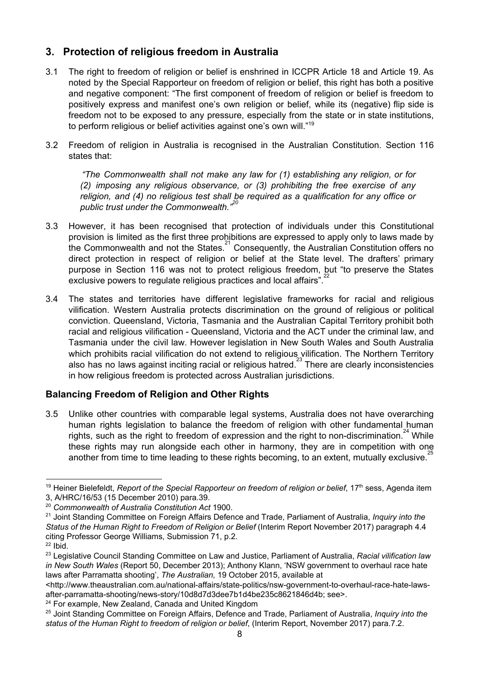# **3. Protection of religious freedom in Australia**

- 3.1 The right to freedom of religion or belief is enshrined in ICCPR Article 18 and Article 19. As noted by the Special Rapporteur on freedom of religion or belief, this right has both a positive and negative component: "The first component of freedom of religion or belief is freedom to positively express and manifest one's own religion or belief, while its (negative) flip side is freedom not to be exposed to any pressure, especially from the state or in state institutions, to perform religious or belief activities against one's own will."<sup>19</sup>
- 3.2 Freedom of religion in Australia is recognised in the Australian Constitution. Section 116 states that:

*"The Commonwealth shall not make any law for (1) establishing any religion, or for (2) imposing any religious observance, or (3) prohibiting the free exercise of any religion, and (4) no religious test shall be required as a qualification for any office or public trust under the Commonwealth." 20*

- 3.3 However, it has been recognised that protection of individuals under this Constitutional provision is limited as the first three prohibitions are expressed to apply only to laws made by the Commonwealth and not the States.<sup>21</sup> Consequently, the Australian Constitution offers no direct protection in respect of religion or belief at the State level. The drafters' primary purpose in Section 116 was not to protect religious freedom, but "to preserve the States exclusive powers to regulate religious practices and local affairs".<sup>22</sup>
- 3.4 The states and territories have different legislative frameworks for racial and religious vilification. Western Australia protects discrimination on the ground of religious or political conviction. Queensland, Victoria, Tasmania and the Australian Capital Territory prohibit both racial and religious vilification - Queensland, Victoria and the ACT under the criminal law, and Tasmania under the civil law. However legislation in New South Wales and South Australia which prohibits racial vilification do not extend to religious vilification. The Northern Territory also has no laws against inciting racial or religious hatred.<sup>23</sup> There are clearly inconsistencies in how religious freedom is protected across Australian jurisdictions.

## **Balancing Freedom of Religion and Other Rights**

3.5 Unlike other countries with comparable legal systems, Australia does not have overarching human rights legislation to balance the freedom of religion with other fundamental human rights, such as the right to freedom of expression and the right to non-discrimination.<sup>24</sup> While these rights may run alongside each other in harmony, they are in competition with one another from time to time leading to these rights becoming, to an extent, mutually exclusive.<sup>25</sup>

<sup>24</sup> For example, New Zealand, Canada and United Kingdom

<sup>19</sup> Heiner Bielefeldt, *Report of the Special Rapporteur on freedom of religion or belief*, 17 th sess, Agenda item 3, A/HRC/16/53 (15 December 2010) para.39.

<sup>20</sup> *Commonwealth of Australia Constitution Act* 1900.

<sup>21</sup> Joint Standing Committee on Foreign Affairs Defence and Trade, Parliament of Australia, *Inquiry into the Status of the Human Right to Freedom of Religion or Belief* (Interim Report November 2017) paragraph 4.4 citing Professor George Williams, Submission 71, p.2.

 $22$  Ibid.

<sup>23</sup> Legislative Council Standing Committee on Law and Justice, Parliament of Australia, *Racial vilification law in New South Wales* (Report 50, December 2013); Anthony Klann, 'NSW government to overhaul race hate laws after Parramatta shooting', *The Australian,* 19 October 2015, available at

<sup>&</sup>lt;http://www.theaustralian.com.au/national-affairs/state-politics/nsw-government-to-overhaul-race-hate-lawsafter-parramatta-shooting/news-story/10d8d7d3dee7b1d4be235c8621846d4b; see>.

<sup>25</sup> Joint Standing Committee on Foreign Affairs, Defence and Trade, Parliament of Australia, *Inquiry into the status of the Human Right to freedom of religion or belief*, (Interim Report, November 2017) para.7.2.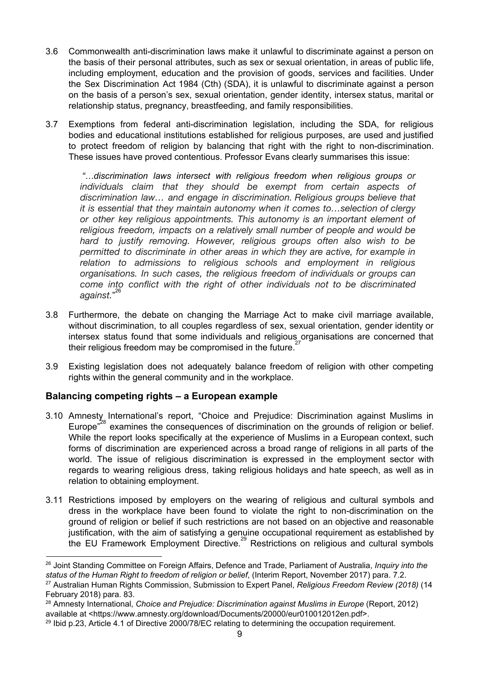- 3.6 Commonwealth anti-discrimination laws make it unlawful to discriminate against a person on the basis of their personal attributes, such as sex or sexual orientation, in areas of public life, including employment, education and the provision of goods, services and facilities. Under the Sex Discrimination Act 1984 (Cth) (SDA), it is unlawful to discriminate against a person on the basis of a person's sex, sexual orientation, gender identity, intersex status, marital or relationship status, pregnancy, breastfeeding, and family responsibilities.
- 3.7 Exemptions from federal anti-discrimination legislation, including the SDA, for religious bodies and educational institutions established for religious purposes, are used and justified to protect freedom of religion by balancing that right with the right to non-discrimination. These issues have proved contentious. Professor Evans clearly summarises this issue:

*"…discrimination laws intersect with religious freedom when religious groups or individuals claim that they should be exempt from certain aspects of discrimination law… and engage in discrimination. Religious groups believe that it is essential that they maintain autonomy when it comes to…selection of clergy or other key religious appointments. This autonomy is an important element of religious freedom, impacts on a relatively small number of people and would be hard to justify removing. However, religious groups often also wish to be permitted to discriminate in other areas in which they are active, for example in relation to admissions to religious schools and employment in religious organisations. In such cases, the religious freedom of individuals or groups can come into conflict with the right of other individuals not to be discriminated against.*" 26

- 3.8 Furthermore, the debate on changing the Marriage Act to make civil marriage available, without discrimination, to all couples regardless of sex, sexual orientation, gender identity or intersex status found that some individuals and religious organisations are concerned that their religious freedom may be compromised in the future.<sup>27</sup>
- 3.9 Existing legislation does not adequately balance freedom of religion with other competing rights within the general community and in the workplace.

## **Balancing competing rights – a European example**

- 3.10 Amnesty International's report, "Choice and Prejudice: Discrimination against Muslims in Europe<sup>"</sup> examines the consequences of discrimination on the grounds of religion or belief. While the report looks specifically at the experience of Muslims in a European context, such forms of discrimination are experienced across a broad range of religions in all parts of the world. The issue of religious discrimination is expressed in the employment sector with regards to wearing religious dress, taking religious holidays and hate speech, as well as in relation to obtaining employment.
- 3.11 Restrictions imposed by employers on the wearing of religious and cultural symbols and dress in the workplace have been found to violate the right to non-discrimination on the ground of religion or belief if such restrictions are not based on an objective and reasonable justification, with the aim of satisfying a genuine occupational requirement as established by the EU Framework Employment Directive.<sup>29</sup> Restrictions on religious and cultural symbols

<sup>26</sup> Joint Standing Committee on Foreign Affairs, Defence and Trade, Parliament of Australia, *Inquiry into the status of the Human Right to freedom of religion or belief*, (Interim Report, November 2017) para. 7.2.

<sup>27</sup> Australian Human Rights Commission, Submission to Expert Panel, *Religious Freedom Review (2018)* (14 February 2018) para. 83.

<sup>28</sup> Amnesty International, *Choice and Prejudice: Discrimination against Muslims in Europe* (Report, 2012) available at <https://www.amnesty.org/download/Documents/20000/eur010012012en.pdf>.

<sup>&</sup>lt;sup>29</sup> Ibid p.23, Article 4.1 of Directive 2000/78/EC relating to determining the occupation requirement.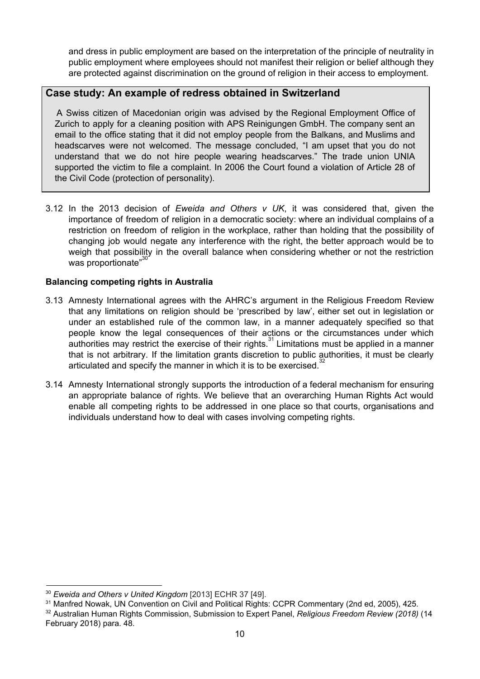and dress in public employment are based on the interpretation of the principle of neutrality in public employment where employees should not manifest their religion or belief although they are protected against discrimination on the ground of religion in their access to employment.

## **Case study: An example of redress obtained in Switzerland**

A Swiss citizen of Macedonian origin was advised by the Regional Employment Office of Zurich to apply for a cleaning position with APS Reinigungen GmbH. The company sent an email to the office stating that it did not employ people from the Balkans, and Muslims and headscarves were not welcomed. The message concluded, "I am upset that you do not understand that we do not hire people wearing headscarves." The trade union UNIA supported the victim to file a complaint. In 2006 the Court found a violation of Article 28 of the Civil Code (protection of personality).

3.12 In the 2013 decision of *Eweida and Others v UK*, it was considered that, given the importance of freedom of religion in a democratic society: where an individual complains of a restriction on freedom of religion in the workplace, rather than holding that the possibility of changing job would negate any interference with the right, the better approach would be to weigh that possibility in the overall balance when considering whether or not the restriction was proportionate"<sup>30"</sup>

## **Balancing competing rights in Australia**

- 3.13 Amnesty International agrees with the AHRC's argument in the Religious Freedom Review that any limitations on religion should be 'prescribed by law', either set out in legislation or under an established rule of the common law, in a manner adequately specified so that people know the legal consequences of their actions or the circumstances under which authorities may restrict the exercise of their rights. $31$  Limitations must be applied in a manner that is not arbitrary. If the limitation grants discretion to public authorities, it must be clearly articulated and specify the manner in which it is to be exercised.<sup>32</sup>
- 3.14 Amnesty International strongly supports the introduction of a federal mechanism for ensuring an appropriate balance of rights. We believe that an overarching Human Rights Act would enable all competing rights to be addressed in one place so that courts, organisations and individuals understand how to deal with cases involving competing rights.

- <sup>31</sup> Manfred Nowak, UN Convention on Civil and Political Rights: CCPR Commentary (2nd ed. 2005), 425.
- <sup>32</sup> Australian Human Rights Commission, Submission to Expert Panel, *Religious Freedom Review (2018)* (14 February 2018) para. 48.

<sup>30</sup> *Eweida and Others v United Kingdom* [2013] ECHR 37 [49].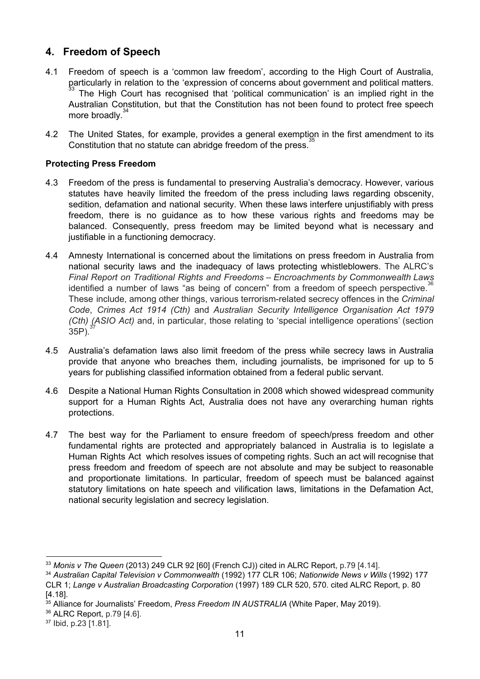# **4. Freedom of Speech**

- 4.1 Freedom of speech is a 'common law freedom', according to the High Court of Australia, particularly in relation to the 'expression of concerns about government and political matters. The High Court has recognised that 'political communication' is an implied right in the Australian Constitution, but that the Constitution has not been found to protect free speech more broadly.<sup>34</sup>
- 4.2 The United States, for example, provides a general exemption in the first amendment to its Constitution that no statute can abridge freedom of the press.<sup>35</sup>

## **Protecting Press Freedom**

- 4.3 Freedom of the press is fundamental to preserving Australia's democracy. However, various statutes have heavily limited the freedom of the press including laws regarding obscenity, sedition, defamation and national security. When these laws interfere unjustifiably with press freedom, there is no guidance as to how these various rights and freedoms may be balanced. Consequently, press freedom may be limited beyond what is necessary and justifiable in a functioning democracy.
- 4.4 Amnesty International is concerned about the limitations on press freedom in Australia from national security laws and the inadequacy of laws protecting whistleblowers. The ALRC's *Final Report on Traditional Rights and Freedoms – Encroachments by Commonwealth Laws* identified a number of laws "as being of concern" from a freedom of speech perspective.<sup>36</sup> These include, among other things, various terrorism-related secrecy offences in the *Criminal Code*, *Crimes Act 1914 (Cth)* and *Australian Security Intelligence Organisation Act 1979 (Cth)* (ASIO Act) and, in particular, those relating to 'special intelligence operations' (section 35P).
- 4.5 Australia's defamation laws also limit freedom of the press while secrecy laws in Australia provide that anyone who breaches them, including journalists, be imprisoned for up to 5 years for publishing classified information obtained from a federal public servant.
- 4.6 Despite a National Human Rights Consultation in 2008 which showed widespread community support for a Human Rights Act, Australia does not have any overarching human rights protections.
- 4.7 The best way for the Parliament to ensure freedom of speech/press freedom and other fundamental rights are protected and appropriately balanced in Australia is to legislate a Human Rights Act which resolves issues of competing rights. Such an act will recognise that press freedom and freedom of speech are not absolute and may be subject to reasonable and proportionate limitations. In particular, freedom of speech must be balanced against statutory limitations on hate speech and vilification laws, limitations in the Defamation Act, national security legislation and secrecy legislation.

<sup>33</sup> *Monis v The Queen* (2013) 249 CLR 92 [60] (French CJ)) cited in ALRC Report, p.79 [4.14].

<sup>34</sup> *Australian Capital Television v Commonwealth* (1992) 177 CLR 106; *Nationwide News v Wills* (1992) 177 CLR 1; *Lange v Australian Broadcasting Corporation* (1997) 189 CLR 520, 570. cited ALRC Report, p. 80 [4.18].

<sup>35</sup> Alliance for Journalists' Freedom, *Press Freedom IN AUSTRALIA* (White Paper, May 2019).

<sup>36</sup> ALRC Report, p.79 [4.6].

<sup>37</sup> Ibid, p.23 [1.81].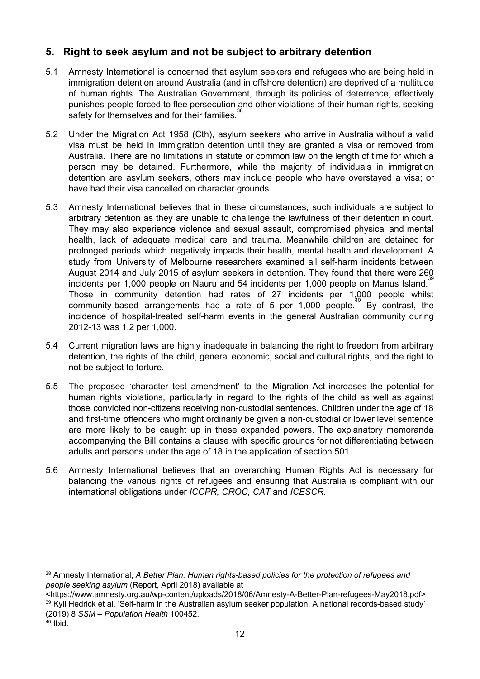# **5. Right to seek asylum and not be subject to arbitrary detention**

- 5.1 Amnesty International is concerned that asylum seekers and refugees who are being held in immigration detention around Australia (and in offshore detention) are deprived of a multitude of human rights. The Australian Government, through its policies of deterrence, effectively punishes people forced to flee persecution and other violations of their human rights, seeking safety for themselves and for their families.<sup>38</sup>
- 5.2 Under the Migration Act 1958 (Cth), asylum seekers who arrive in Australia without a valid visa must be held in immigration detention until they are granted a visa or removed from Australia. There are no limitations in statute or common law on the length of time for which a person may be detained. Furthermore, while the majority of individuals in immigration detention are asylum seekers, others may include people who have overstayed a visa; or have had their visa cancelled on character grounds.
- 5.3 Amnesty International believes that in these circumstances, such individuals are subject to arbitrary detention as they are unable to challenge the lawfulness of their detention in court. They may also experience violence and sexual assault, compromised physical and mental health, lack of adequate medical care and trauma. Meanwhile children are detained for prolonged periods which negatively impacts their health, mental health and development. A study from University of Melbourne researchers examined all self-harm incidents between August 2014 and July 2015 of asylum seekers in detention. They found that there were 260 incidents per 1,000 people on Nauru and 54 incidents per 1,000 people on Manus Island.<sup>39</sup> Those in community detention had rates of 27 incidents per 1,000 people whilst community-based arrangements had a rate of 5 per 1,000 people.<sup>40</sup> By contrast, the incidence of hospital-treated self-harm events in the general Australian community during 2012-13 was 1.2 per 1,000.
- 5.4 Current migration laws are highly inadequate in balancing the right to freedom from arbitrary detention, the rights of the child, general economic, social and cultural rights, and the right to not be subject to torture.
- 5.5 The proposed 'character test amendment' to the Migration Act increases the potential for human rights violations, particularly in regard to the rights of the child as well as against those convicted non-citizens receiving non-custodial sentences. Children under the age of 18 and first-time offenders who might ordinarily be given a non-custodial or lower level sentence are more likely to be caught up in these expanded powers. The explanatory memoranda accompanying the Bill contains a clause with specific grounds for not differentiating between adults and persons under the age of 18 in the application of section 501.
- 5.6 Amnesty International believes that an overarching Human Rights Act is necessary for balancing the various rights of refugees and ensuring that Australia is compliant with our international obligations under *ICCPR, CROC, CAT* and *ICESCR*.

<sup>38</sup> Amnesty International, *A Better Plan: Human rights-based policies for the protection of refugees and people seeking asylum* (Report, April 2018) available at

<sup>&</sup>lt;https://www.amnesty.org.au/wp-content/uploads/2018/06/Amnesty-A-Better-Plan-refugees-May2018.pdf> <sup>39</sup> Kyli Hedrick et al, 'Self-harm in the Australian asylum seeker population: A national records-based study' (2019) 8 *SSM – Population Health* 100452.

 $40$  Ibid.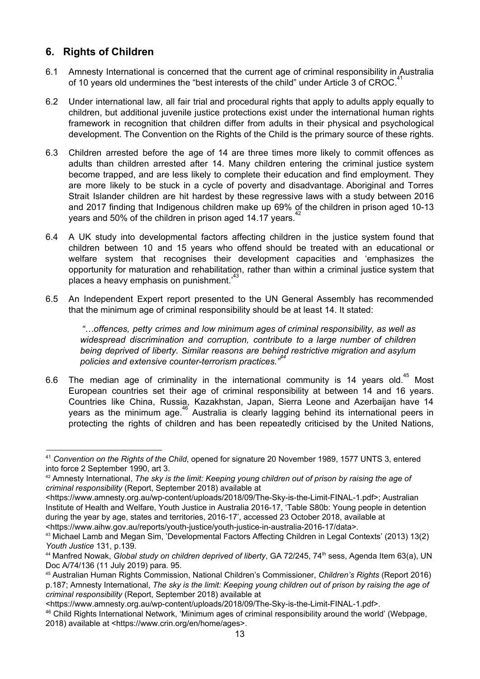# **6. Rights of Children**

- 6.1 Amnesty International is concerned that the current age of criminal responsibility in Australia of 10 years old undermines the "best interests of the child" under Article 3 of CROC.<sup>41</sup>
- 6.2 Under international law, all fair trial and procedural rights that apply to adults apply equally to children, but additional juvenile justice protections exist under the international human rights framework in recognition that children differ from adults in their physical and psychological development. The Convention on the Rights of the Child is the primary source of these rights.
- 6.3 Children arrested before the age of 14 are three times more likely to commit offences as adults than children arrested after 14. Many children entering the criminal justice system become trapped, and are less likely to complete their education and find employment. They are more likely to be stuck in a cycle of poverty and disadvantage. Aboriginal and Torres Strait Islander children are hit hardest by these regressive laws with a study between 2016 and 2017 finding that Indigenous children make up 69% of the children in prison aged 10-13 years and 50% of the children in prison aged 14.17 years.<sup>42</sup>
- 6.4 A UK study into developmental factors affecting children in the justice system found that children between 10 and 15 years who offend should be treated with an educational or welfare system that recognises their development capacities and 'emphasizes the opportunity for maturation and rehabilitation, rather than within a criminal justice system that places a heavy emphasis on punishment. $143$
- 6.5 An Independent Expert report presented to the UN General Assembly has recommended that the minimum age of criminal responsibility should be at least 14. It stated:

*"…offences, petty crimes and low minimum ages of criminal responsibility, as well as widespread discrimination and corruption, contribute to a large number of children being deprived of liberty. Similar reasons are behind restrictive migration and asylum policies and extensive counter-terrorism practices." 44*

6.6 The median age of criminality in the international community is 14 years old.<sup>45</sup> Most European countries set their age of criminal responsibility at between 14 and 16 years. Countries like China, Russia, Kazakhstan, Japan, Sierra Leone and Azerbaijan have 14 years as the minimum age.<sup>46</sup> Australia is clearly lagging behind its international peers in protecting the rights of children and has been repeatedly criticised by the United Nations,

<sup>41</sup> *Convention on the Rights of the Child*, opened for signature 20 November 1989, 1577 UNTS 3, entered into force 2 September 1990, art 3.

<sup>42</sup> Amnesty International, *The sky is the limit: Keeping young children out of prison by raising the age of criminal responsibility* (Report, September 2018) available at

<sup>&</sup>lt;https://www.amnesty.org.au/wp-content/uploads/2018/09/The-Sky-is-the-Limit-FINAL-1.pdf>; Australian Institute of Health and Welfare, Youth Justice in Australia 2016-17, 'Table S80b: Young people in detention during the year by age, states and territories, 2016-17', accessed 23 October 2018, available at <https://www.aihw.gov.au/reports/youth-justice/youth-justice-in-australia-2016-17/data>.

<sup>43</sup> Michael Lamb and Megan Sim, 'Developmental Factors Affecting Children in Legal Contexts' (2013) 13(2) *Youth Justice* 131, p.139.

<sup>44</sup> Manfred Nowak, *Global study on children deprived of liberty*, GA 72/245, 74 th sess, Agenda Item 63(a), UN Doc A/74/136 (11 July 2019) para. 95.

<sup>45</sup> Australian Human Rights Commission, National Children's Commissioner, *Children's Rights* (Report 2016) p.187; Amnesty International, *The sky is the limit: Keeping young children out of prison by raising the age of criminal responsibility* (Report, September 2018) available at

<sup>&</sup>lt;https://www.amnesty.org.au/wp-content/uploads/2018/09/The-Sky-is-the-Limit-FINAL-1.pdf>.

<sup>46</sup> Child Rights International Network, 'Minimum ages of criminal responsibility around the world' (Webpage, 2018) available at <https://www.crin.org/en/home/ages>.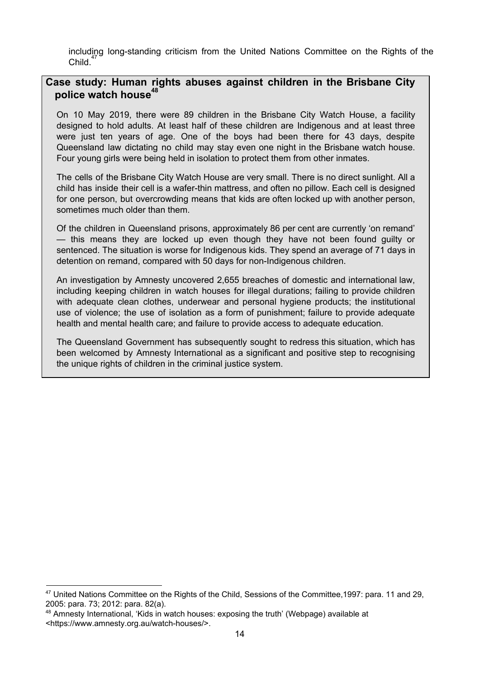including long-standing criticism from the United Nations Committee on the Rights of the Child.<sup>47</sup>

# **Case study: Human rights abuses against children in the Brisbane City police watch house 48**

On 10 May 2019, there were 89 children in the Brisbane City Watch House, a facility designed to hold adults. At least half of these children are Indigenous and at least three were just ten years of age. One of the boys had been there for 43 days, despite Queensland law dictating no child may stay even one night in the Brisbane watch house. Four young girls were being held in isolation to protect them from other inmates.

The cells of the Brisbane City Watch House are very small. There is no direct sunlight. All a child has inside their cell is a wafer-thin mattress, and often no pillow. Each cell is designed for one person, but overcrowding means that kids are often locked up with another person, sometimes much older than them.

Of the children in Queensland prisons, approximately 86 per cent are currently 'on remand' — this means they are locked up even though they have not been found guilty or sentenced. The situation is worse for Indigenous kids. They spend an average of 71 days in detention on remand, compared with 50 days for non-Indigenous children.

An investigation by Amnesty uncovered 2,655 breaches of domestic and international law, including keeping children in watch houses for illegal durations; failing to provide children with adequate clean clothes, underwear and personal hygiene products; the institutional use of violence; the use of isolation as a form of punishment; failure to provide adequate health and mental health care; and failure to provide access to adequate education.

The Queensland Government has subsequently sought to redress this situation, which has been welcomed by Amnesty International as a significant and positive step to recognising the unique rights of children in the criminal justice system.

<sup>47</sup> United Nations Committee on the Rights of the Child, Sessions of the Committee,1997: para. 11 and 29, 2005: para. 73; 2012: para. 82(a).

<sup>48</sup> Amnesty International, 'Kids in watch houses: exposing the truth' (Webpage) available at <https://www.amnesty.org.au/watch-houses/>.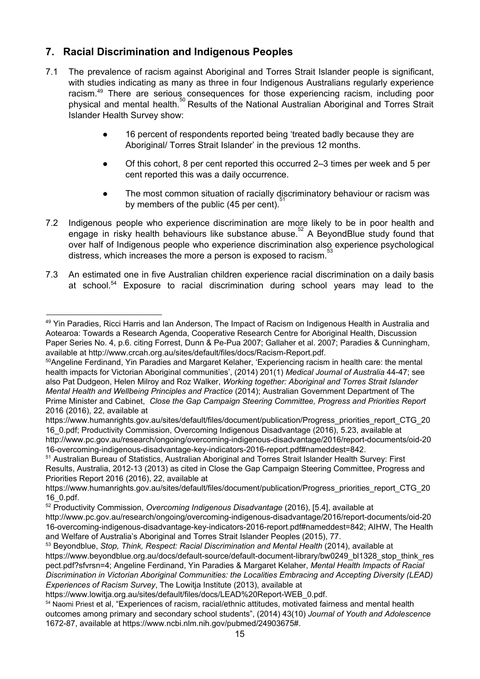# **7. Racial Discrimination and Indigenous Peoples**

- 7.1 The prevalence of racism against Aboriginal and Torres Strait Islander people is significant, with studies indicating as many as three in four Indigenous Australians regularly experience racism.<sup>49</sup> There are serious consequences for those experiencing racism, including poor physical and mental health.<sup>50</sup> Results of the National Australian Aboriginal and Torres Strait Islander Health Survey show:
	- 16 percent of respondents reported being 'treated badly because they are Aboriginal/ Torres Strait Islander' in the previous 12 months.
	- Of this cohort, 8 per cent reported this occurred 2–3 times per week and 5 per cent reported this was a daily occurrence.
	- The most common situation of racially discriminatory behaviour or racism was by members of the public (45 per cent).<sup>51</sup>
- 7.2 Indigenous people who experience discrimination are more likely to be in poor health and engage in risky health behaviours like substance abuse.<sup>52</sup> A BeyondBlue study found that over half of Indigenous people who experience discrimination also experience psychological distress, which increases the more a person is exposed to racism.<sup>53</sup>
- 7.3 An estimated one in five Australian children experience racial discrimination on a daily basis at school.<sup>54</sup> Exposure to racial discrimination during school years may lead to the

<sup>49</sup> Yin Paradies, Ricci Harris and Ian Anderson, The Impact of Racism on Indigenous Health in Australia and Aotearoa: Towards a Research Agenda, Cooperative Research Centre for Aboriginal Health, Discussion Paper Series No. 4, p.6. citing Forrest, Dunn & Pe-Pua 2007; Gallaher et al. 2007; Paradies & Cunningham, available at http://www.crcah.org.au/sites/default/files/docs/Racism-Report.pdf.

<sup>50</sup>Angeline Ferdinand, Yin Paradies and Margaret Kelaher, 'Experiencing racism in health care: the mental health impacts for Victorian Aboriginal communities', (2014) 201(1) *Medical Journal of Australia* 44-47; see also Pat Dudgeon, Helen Milroy and Roz Walker, *Working together: Aboriginal and Torres Strait Islander Mental Health and Wellbeing Principles and Practice* (2014); Australian Government Department of The Prime Minister and Cabinet, *Close the Gap Campaign Steering Committee, Progress and Priorities Report* 2016 (2016), 22, available at

[https://www.humanrights.gov.au/sites/default/files/document/publication/Progress\\_priorities\\_report\\_CTG\\_20](https://www.humanrights.gov.au/sites/default/files/document/publication/Progress_priorities_report_CTG_2016_0.pdf) [16\\_0.pdf](https://www.humanrights.gov.au/sites/default/files/document/publication/Progress_priorities_report_CTG_2016_0.pdf); Productivity Commission, Overcoming Indigenous Disadvantage (2016), 5.23, available at http://www.pc.gov.au/research/ongoing/overcoming-indigenous-disadvantage/2016/report-documents/oid-20 16-overcoming-indigenous-disadvantage-key-indicators-2016-report.pdf#nameddest=842.

<sup>&</sup>lt;sup>51</sup> Australian Bureau of Statistics, Australian Aboriginal and Torres Strait Islander Health Survey: First Results, Australia, 2012-13 (2013) as cited in Close the Gap Campaign Steering Committee, Progress and Priorities Report 2016 (2016), 22, available at

https://www.humanrights.gov.au/sites/default/files/document/publication/Progress\_priorities\_report\_CTG\_20 16\_0.pdf.

<sup>52</sup> Productivity Commission, *Overcoming Indigenous Disadvantage* (2016), [5.4], available at

http://www.pc.gov.au/research/ongoing/overcoming-indigenous-disadvantage/2016/report-documents/oid-20 16-overcoming-indigenous-disadvantage-key-indicators-2016-report.pdf#nameddest=842; AIHW, The Health and Welfare of Australia's Aboriginal and Torres Strait Islander Peoples (2015), 77.

<sup>53</sup> Beyondblue, *Stop, Think, Respect: Racial Discrimination and Mental Health* (2014), available at [https://www.beyondblue.org.au/docs/default-source/default-document-library/bw0249\\_bl1328\\_stop\\_think\\_res](https://www.beyondblue.org.au/docs/default-source/default-document-library/bw0249_bl1328_stop_think_respect.pdf?sfvrsn=4) [pect.pdf?sfvrsn=4;](https://www.beyondblue.org.au/docs/default-source/default-document-library/bw0249_bl1328_stop_think_respect.pdf?sfvrsn=4) Angeline Ferdinand, Yin Paradies & Margaret Kelaher, *Mental Health Impacts of Racial Discrimination in Victorian Aboriginal Communities: the Localities Embracing and Accepting Diversity (LEAD) Experiences of Racism Survey*, The Lowitja Institute (2013), available at

https://www.lowitja.org.au/sites/default/files/docs/LEAD%20Report-WEB\_0.pdf.

<sup>54</sup> Naomi Priest et al, "Experiences of racism, racial/ethnic attitudes, motivated fairness and mental health outcomes among primary and secondary school students", (2014) 43(10) *Journal of Youth and Adolescence* 1672-87, available at https://www.ncbi.nlm.nih.gov/pubmed/24903675#.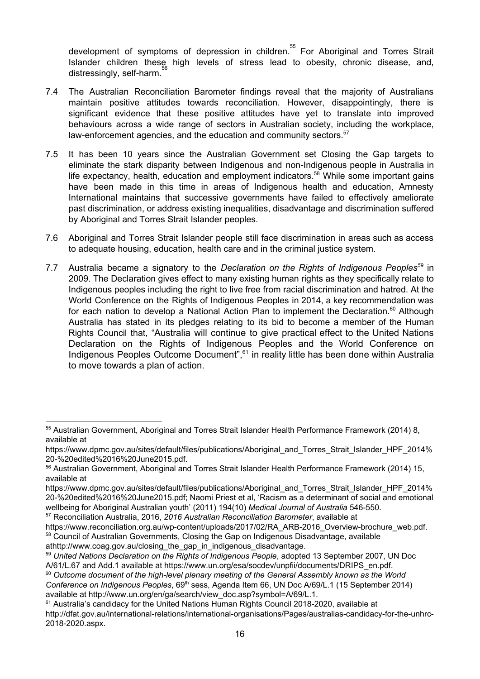development of symptoms of depression in children.<sup>55</sup> For Aboriginal and Torres Strait Islander children these high levels of stress lead to obesity, chronic disease, and, distressingly, self-harm.

- 7.4 The Australian Reconciliation Barometer findings reveal that the majority of Australians maintain positive attitudes towards reconciliation. However, disappointingly, there is significant evidence that these positive attitudes have yet to translate into improved behaviours across a wide range of sectors in Australian society, including the workplace, law-enforcement agencies, and the education and community sectors.<sup>57</sup>
- 7.5 It has been 10 years since the Australian Government set Closing the Gap targets to eliminate the stark disparity between Indigenous and non-Indigenous people in Australia in life expectancy, health, education and employment indicators.<sup>58</sup> While some important gains have been made in this time in areas of Indigenous health and education, Amnesty International maintains that successive governments have failed to effectively ameliorate past discrimination, or address existing inequalities, disadvantage and discrimination suffered by Aboriginal and Torres Strait Islander peoples.
- 7.6 Aboriginal and Torres Strait Islander people still face discrimination in areas such as access to adequate housing, education, health care and in the criminal justice system.
- 7.7 Australia became a signatory to the *Declaration on the Rights of Indigenous Peoples<sup>59</sup> in* 2009. The Declaration gives effect to many existing human rights as they specifically relate to Indigenous peoples including the right to live free from racial discrimination and hatred. At the World Conference on the Rights of Indigenous Peoples in 2014, a key recommendation was for each nation to develop a National Action Plan to implement the Declaration.<sup>60</sup> Although Australia has stated in its pledges relating to its bid to become a member of the Human Rights Council that, "Australia will continue to give practical effect to the United Nations Declaration on the Rights of Indigenous Peoples and the World Conference on Indigenous Peoples Outcome Document",<sup>61</sup> in reality little has been done within Australia to move towards a plan of action.

<sup>57</sup> Reconciliation Australia, 2016, *2016 Australian Reconciliation Barometer*, available at

<sup>55</sup> Australian Government, Aboriginal and Torres Strait Islander Health Performance Framework (2014) 8, available at

[https://www.dpmc.gov.au/sites/default/files/publications/Aboriginal\\_and\\_Torres\\_Strait\\_Islander\\_HPF\\_2014%](https://www.dpmc.gov.au/sites/default/files/publications/Aboriginal_and_Torres_Strait_Islander_HPF_2014%20-%20edited%2016%20June2015.pdf) [20-%20edited%2016%20June2015.pdf](https://www.dpmc.gov.au/sites/default/files/publications/Aboriginal_and_Torres_Strait_Islander_HPF_2014%20-%20edited%2016%20June2015.pdf).

<sup>56</sup> Australian Government, Aboriginal and Torres Strait Islander Health Performance Framework (2014) 15, available at

[https://www.dpmc.gov.au/sites/default/files/publications/Aboriginal\\_and\\_Torres\\_Strait\\_Islander\\_HPF\\_2014%](https://www.dpmc.gov.au/sites/default/files/publications/Aboriginal_and_Torres_Strait_Islander_HPF_2014%20-%20edited%2016%20June2015.pdf) [20-%20edited%2016%20June2015.pdf](https://www.dpmc.gov.au/sites/default/files/publications/Aboriginal_and_Torres_Strait_Islander_HPF_2014%20-%20edited%2016%20June2015.pdf); Naomi Priest et al, 'Racism as a determinant of social and emotional wellbeing for Aboriginal Australian youth' (2011) 194(10) *Medical Journal of Australia* 546-550.

https://www.reconciliation.org.au/wp-content/uploads/2017/02/RA\_ARB-2016\_Overview-brochure\_web.pdf. <sup>58</sup> Council of Australian Governments, Closing the Gap on Indigenous Disadvantage, available athttp://www.coag.gov.au/closing\_the\_gap\_in\_indigenous\_disadvantage.

<sup>59</sup> *United Nations Declaration on the Rights of Indigenous People*, adopted 13 September 2007, UN Doc A/61/L.67 and Add.1 available at https://www.un.org/esa/socdev/unpfii/documents/DRIPS\_en.pdf.

<sup>60</sup> *Outcome document of the high-level plenary meeting of the General Assembly known as the World* Conference on *Indigenous Peoples*, 69<sup>th</sup> sess, Agenda Item 66, UN Doc A/69/L.1 (15 September 2014) available at http://www.un.org/en/ga/search/view\_doc.asp?symbol=A/69/L.1.

 $61$  Australia's candidacy for the United Nations Human Rights Council 2018-2020, available at http://dfat.gov.au/international-relations/international-organisations/Pages/australias-candidacy-for-the-unhrc-2018-2020.aspx.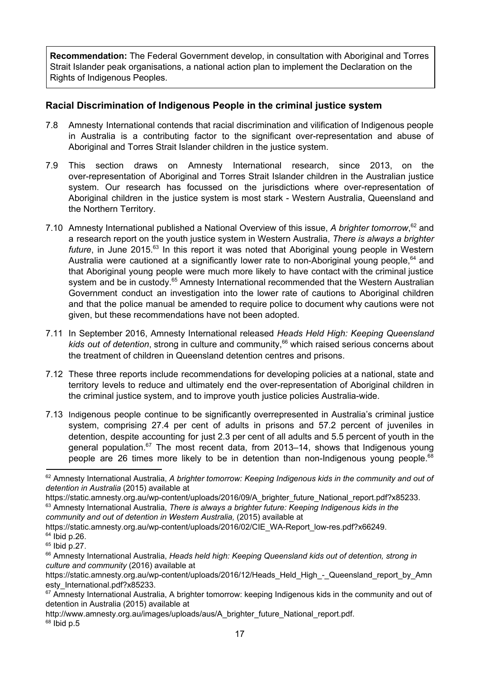**Recommendation:** The Federal Government develop, in consultation with Aboriginal and Torres Strait Islander peak organisations, a national action plan to implement the Declaration on the Rights of Indigenous Peoples.

## **Racial Discrimination of Indigenous People in the criminal justice system**

- 7.8 Amnesty International contends that racial discrimination and vilification of Indigenous people in Australia is a contributing factor to the significant over-representation and abuse of Aboriginal and Torres Strait Islander children in the justice system.
- 7.9 This section draws on Amnesty International research, since 2013, on the over-representation of Aboriginal and Torres Strait Islander children in the Australian justice system. Our research has focussed on the jurisdictions where over-representation of Aboriginal children in the justice system is most stark - Western Australia, Queensland and the Northern Territory.
- 7.10 Amnesty International published a National Overview of this issue, A brighter *tomorrow*,<sup>62</sup> and a research report on the youth justice system in Western Australia, *There is always a brighter future*, in June 2015.<sup>63</sup> In this report it was noted that Aboriginal young people in Western Australia were cautioned at a significantly lower rate to non-Aboriginal young people, $64$  and that Aboriginal young people were much more likely to have contact with the criminal justice system and be in custody.<sup>65</sup> Amnesty International recommended that the Western Australian Government conduct an investigation into the lower rate of cautions to Aboriginal children and that the police manual be amended to require police to document why cautions were not given, but these recommendations have not been adopted.
- 7.11 In September 2016, Amnesty International released *Heads Held High: Keeping Queensland* kids out of detention, strong in culture and community,<sup>66</sup> which raised serious concerns about the treatment of children in Queensland detention centres and prisons.
- 7.12 These three reports include recommendations for developing policies at a national, state and territory levels to reduce and ultimately end the over-representation of Aboriginal children in the criminal justice system, and to improve youth justice policies Australia-wide.
- 7.13 Indigenous people continue to be significantly overrepresented in Australia's criminal justice system, comprising 27.4 per cent of adults in prisons and 57.2 percent of juveniles in detention, despite accounting for just 2.3 per cent of all adults and 5.5 percent of youth in the general population.<sup>67</sup> The most recent data, from 2013–14, shows that Indigenous young people are 26 times more likely to be in detention than non-Indigenous young people.<sup>68</sup>

<sup>62</sup> Amnesty International Australia, *A brighter tomorrow: Keeping Indigenous kids in the community and out of detention in Australia* (2015) available at

https://static.amnesty.org.au/wp-content/uploads/2016/09/A\_brighter\_future\_National\_report.pdf?x85233.

<sup>63</sup> Amnesty International Australia, *There is always a brighter future: Keeping Indigenous kids in the community and out of detention in Western Australia,* (2015) available at

https://static.amnesty.org.au/wp-content/uploads/2016/02/CIE\_WA-Report\_low-res.pdf?x66249.  $64$  Ibid p.26.

 $65$  Ibid p.27.

<sup>66</sup> Amnesty International Australia, *Heads held high: Keeping Queensland kids out of detention, strong in culture and community* (2016) available at

https://static.amnesty.org.au/wp-content/uploads/2016/12/Heads\_Held\_High\_-\_Queensland\_report\_by\_Amn esty\_International.pdf?x85233.

<sup>&</sup>lt;sup>67</sup> Amnesty International Australia, A brighter tomorrow: keeping Indigenous kids in the community and out of detention in Australia (2015) available at

http://www.amnesty.org.au/images/uploads/aus/A\_brighter\_future\_National\_report.pdf.

 $68$  Ibid p.5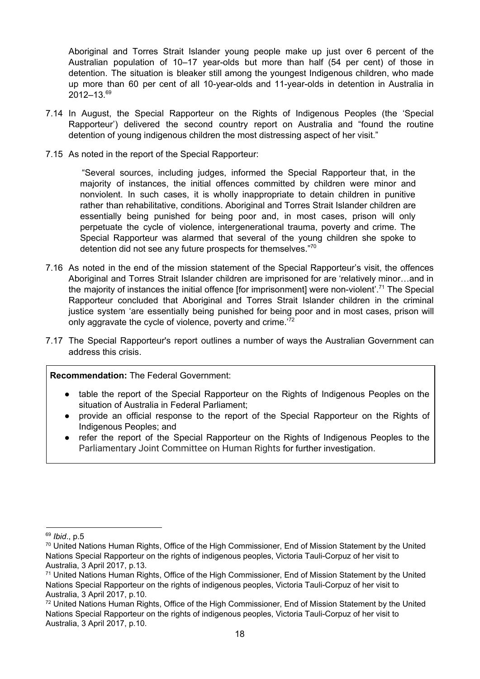Aboriginal and Torres Strait Islander young people make up just over 6 percent of the Australian population of 10–17 year-olds but more than half (54 per cent) of those in detention. The situation is bleaker still among the youngest Indigenous children, who made up more than 60 per cent of all 10-year-olds and 11-year-olds in detention in Australia in 2012–13. 69

- 7.14 In August, the Special Rapporteur on the Rights of Indigenous Peoples (the 'Special Rapporteur') delivered the second country report on Australia and "found the routine detention of young indigenous children the most distressing aspect of her visit."
- 7.15 As noted in the report of the Special Rapporteur:

"Several sources, including judges, informed the Special Rapporteur that, in the majority of instances, the initial offences committed by children were minor and nonviolent. In such cases, it is wholly inappropriate to detain children in punitive rather than rehabilitative, conditions. Aboriginal and Torres Strait Islander children are essentially being punished for being poor and, in most cases, prison will only perpetuate the cycle of violence, intergenerational trauma, poverty and crime. The Special Rapporteur was alarmed that several of the young children she spoke to detention did not see any future prospects for themselves."70

- 7.16 As noted in the end of the mission statement of the Special Rapporteur's visit, the offences Aboriginal and Torres Strait Islander children are imprisoned for are 'relatively minor…and in the majority of instances the initial offence [for imprisonment] were non-violent'.<sup>71</sup> The Special Rapporteur concluded that Aboriginal and Torres Strait Islander children in the criminal justice system 'are essentially being punished for being poor and in most cases, prison will only aggravate the cycle of violence, poverty and crime.<sup>72</sup>
- 7.17 The Special Rapporteur's report outlines a number of ways the Australian Government can address this crisis.

**Recommendation:** The Federal Government:

- table the report of the Special Rapporteur on the Rights of Indigenous Peoples on the situation of Australia in Federal Parliament;
- provide an official response to the report of the Special Rapporteur on the Rights of Indigenous Peoples; and
- refer the report of the Special Rapporteur on the Rights of Indigenous Peoples to the Parliamentary Joint Committee on Human Rights for further investigation.

<sup>69</sup> *Ibid*., p.5

 $70$  United Nations Human Rights, Office of the High Commissioner, End of Mission Statement by the United Nations Special Rapporteur on the rights of indigenous peoples, Victoria Tauli-Corpuz of her visit to Australia, 3 April 2017, p.13.

<sup>71</sup> United Nations Human Rights, Office of the High Commissioner, End of Mission Statement by the United Nations Special Rapporteur on the rights of indigenous peoples, Victoria Tauli-Corpuz of her visit to Australia, 3 April 2017, p.10.

<sup>72</sup> United Nations Human Rights, Office of the High Commissioner, End of Mission Statement by the United Nations Special Rapporteur on the rights of indigenous peoples, Victoria Tauli-Corpuz of her visit to Australia, 3 April 2017, p.10.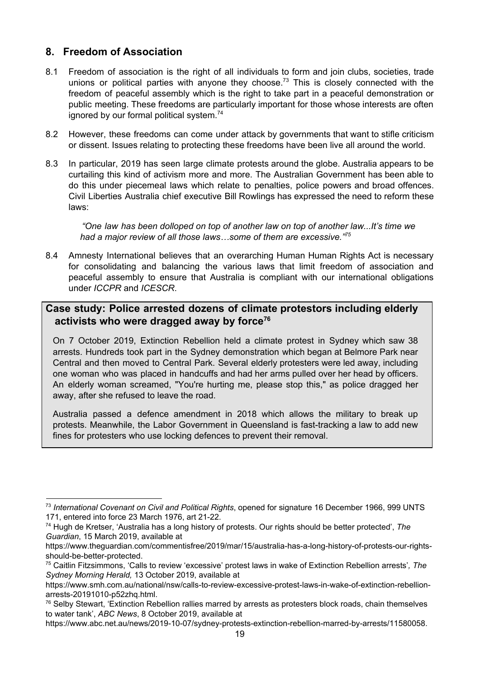# **8. Freedom of Association**

- 8.1 Freedom of association is the right of all individuals to form and join clubs, societies, trade unions or political parties with anyone they choose.<sup>73</sup> This is closely connected with the freedom of peaceful assembly which is the right to take part in a peaceful demonstration or public meeting. These freedoms are particularly important for those whose interests are often ignored by our formal political system.<sup>74</sup>
- 8.2 However, these freedoms can come under attack by governments that want to stifle criticism or dissent. Issues relating to protecting these freedoms have been live all around the world.
- 8.3 In particular, 2019 has seen large climate protests around the globe. Australia appears to be curtailing this kind of activism more and more. The Australian Government has been able to do this under piecemeal laws which relate to penalties, police powers and broad offences. Civil Liberties Australia chief executive Bill Rowlings has expressed the need to reform these laws:

*"One law has been dolloped on top of another law on top of another law...It's time we had a major review of all those laws…some of them are excessive." 75*

8.4 Amnesty International believes that an overarching Human Human Rights Act is necessary for consolidating and balancing the various laws that limit freedom of association and peaceful assembly to ensure that Australia is compliant with our international obligations under *ICCPR* and *ICESCR*.

## **Case study: Police arrested dozens of climate protestors including elderly activists who were dragged away by force 76**

On 7 October 2019, Extinction Rebellion held a climate protest in Sydney which saw 38 arrests. Hundreds took part in the Sydney demonstration which began at Belmore Park near Central and then moved to Central Park. Several elderly protesters were led away, including one woman who was placed in handcuffs and had her arms pulled over her head by officers. An elderly woman screamed, "You're hurting me, please stop this," as police dragged her away, after she refused to leave the road.

Australia passed a defence amendment in 2018 which allows the military to break up protests. Meanwhile, the Labor Government in Queensland is fast-tracking a law to add new fines for protesters who use locking defences to prevent their removal.

<sup>73</sup> *International Covenant on Civil and Political Rights*, opened for signature 16 December 1966, 999 UNTS 171, entered into force 23 March 1976, art 21-22.

<sup>74</sup> Hugh de Kretser, 'Australia has a long history of protests. Our rights should be better protected', *The Guardian*, 15 March 2019, available at

https://www.theguardian.com/commentisfree/2019/mar/15/australia-has-a-long-history-of-protests-our-rightsshould-be-better-protected.

<sup>75</sup> Caitlin Fitzsimmons, 'Calls to review 'excessive' protest laws in wake of Extinction Rebellion arrests'*, The Sydney Morning Herald,* 13 October 2019, available at

https://www.smh.com.au/national/nsw/calls-to-review-excessive-protest-laws-in-wake-of-extinction-rebellionarrests-20191010-p52zhq.html.

<sup>76</sup> Selby Stewart, 'Extinction Rebellion rallies marred by arrests as protesters block roads, chain themselves to water tank', *ABC News*, 8 October 2019, available at

https://www.abc.net.au/news/2019-10-07/sydney-protests-extinction-rebellion-marred-by-arrests/11580058.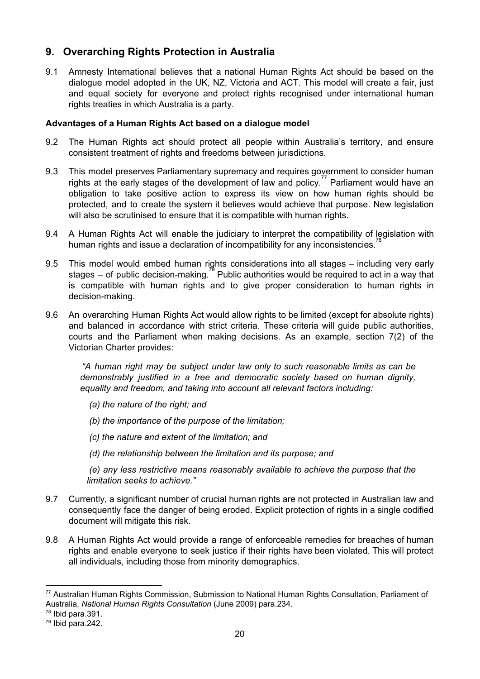# **9. Overarching Rights Protection in Australia**

9.1 Amnesty International believes that a national Human Rights Act should be based on the dialogue model adopted in the UK, NZ, Victoria and ACT. This model will create a fair, just and equal society for everyone and protect rights recognised under international human rights treaties in which Australia is a party.

## **Advantages of a Human Rights Act based on a dialogue model**

- 9.2 The Human Rights act should protect all people within Australia's territory, and ensure consistent treatment of rights and freedoms between jurisdictions.
- 9.3 This model preserves Parliamentary supremacy and requires government to consider human rights at the early stages of the development of law and policy.<sup>77</sup> Parliament would have an obligation to take positive action to express its view on how human rights should be protected, and to create the system it believes would achieve that purpose. New legislation will also be scrutinised to ensure that it is compatible with human rights.
- 9.4 A Human Rights Act will enable the judiciary to interpret the compatibility of legislation with human rights and issue a declaration of incompatibility for any inconsistencies.<sup>78</sup>
- 9.5 This model would embed human rights considerations into all stages including very early stages – of public decision-making.<sup>79</sup> Public authorities would be required to act in a way that is compatible with human rights and to give proper consideration to human rights in decision-making.
- 9.6 An overarching Human Rights Act would allow rights to be limited (except for absolute rights) and balanced in accordance with strict criteria. These criteria will guide public authorities, courts and the Parliament when making decisions. As an example, section 7(2) of the Victorian Charter provides:

*"A human right may be subject under law only to such reasonable limits as can be demonstrably justified in a free and democratic society based on human dignity, equality and freedom, and taking into account all relevant factors including:*

- *(a) the nature of the right; and*
- *(b) the importance of the purpose of the limitation;*
- *(c) the nature and extent of the limitation; and*
- *(d) the relationship between the limitation and its purpose; and*

*(e) any less restrictive means reasonably available to achieve the purpose that the limitation seeks to achieve."*

- 9.7 Currently, a significant number of crucial human rights are not protected in Australian law and consequently face the danger of being eroded. Explicit protection of rights in a single codified document will mitigate this risk.
- 9.8 A Human Rights Act would provide a range of enforceable remedies for breaches of human rights and enable everyone to seek justice if their rights have been violated. This will protect all individuals, including those from minority demographics.

<sup>77</sup> Australian Human Rights Commission, Submission to National Human Rights Consultation, Parliament of Australia, *National Human Rights Consultation* (June 2009) para.234.

 $78$  Ibid para.391.

<sup>79</sup> Ibid para.242.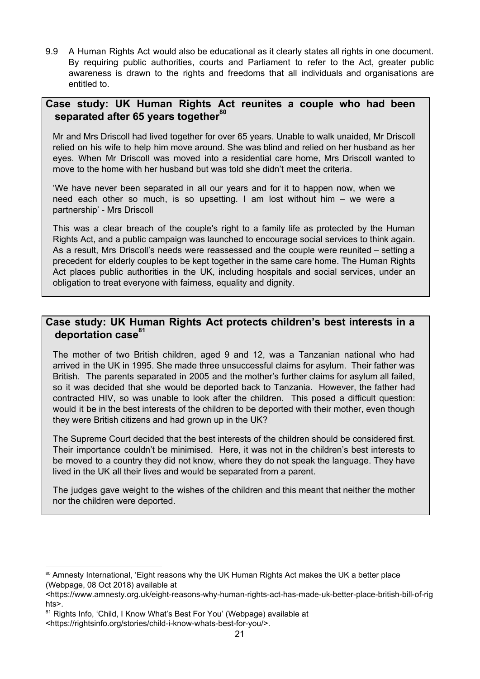9.9 A Human Rights Act would also be educational as it clearly states all rights in one document. By requiring public authorities, courts and Parliament to refer to the Act, greater public awareness is drawn to the rights and freedoms that all individuals and organisations are entitled to.

# **Case study: UK Human Rights Act reunites a couple who had been separated after 65 years together 80**

Mr and Mrs Driscoll had lived together for over 65 years. Unable to walk unaided, Mr Driscoll relied on his wife to help him move around. She was blind and relied on her husband as her eyes. When Mr Driscoll was moved into a residential care home, Mrs Driscoll wanted to move to the home with her husband but was told she didn't meet the criteria.

'We have never been separated in all our years and for it to happen now, when we need each other so much, is so upsetting. I am lost without him – we were a partnership' - Mrs Driscoll

This was a clear breach of the couple's right to a family life as protected by the Human Rights Act, and a public campaign was launched to encourage social services to think again. As a result, Mrs Driscoll's needs were reassessed and the couple were reunited – setting a precedent for elderly couples to be kept together in the same care home. The Human Rights Act places public authorities in the UK, including hospitals and social services, under an obligation to treat everyone with fairness, equality and dignity.

# **Case study: UK Human Rights Act protects children's best interests in a deportation case 81**

The mother of two British children, aged 9 and 12, was a Tanzanian national who had arrived in the UK in 1995. She made three unsuccessful claims for asylum. Their father was British. The parents separated in 2005 and the mother's further claims for asylum all failed, so it was decided that she would be deported back to Tanzania. However, the father had contracted HIV, so was unable to look after the children. This posed a difficult question: would it be in the best interests of the children to be deported with their mother, even though they were British citizens and had grown up in the UK?

The Supreme Court decided that the best interests of the children should be considered first. Their importance couldn't be minimised. Here, it was not in the children's best interests to be moved to a country they did not know, where they do not speak the language. They have lived in the UK all their lives and would be separated from a parent.

The judges gave weight to the wishes of the children and this meant that neither the mother nor the children were deported.

<sup>80</sup> Amnesty International, 'Eight reasons why the UK Human Rights Act makes the UK a better place (Webpage, 08 Oct 2018) available at

<sup>&</sup>lt;https://www.amnesty.org.uk/eight-reasons-why-human-rights-act-has-made-uk-better-place-british-bill-of-rig hts>.

<sup>&</sup>lt;sup>81</sup> Rights Info, 'Child, I Know What's Best For You' (Webpage) available at

<sup>&</sup>lt;https://rightsinfo.org/stories/child-i-know-whats-best-for-you/>.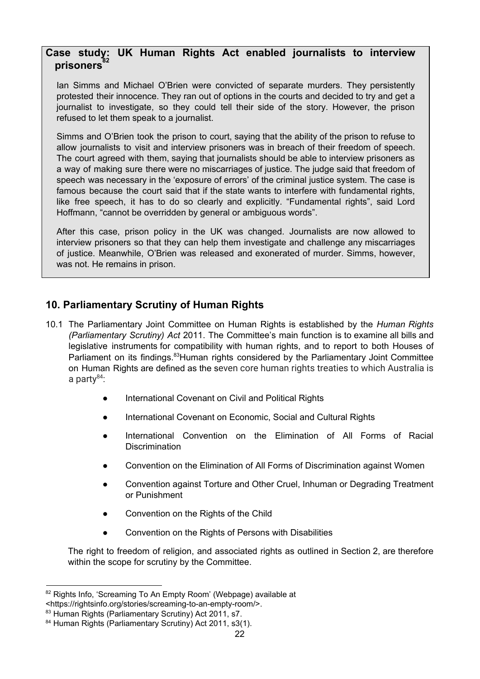# **Case study: UK Human Rights Act enabled journalists to interview prisoners 82**

Ian Simms and Michael O'Brien were convicted of separate murders. They persistently protested their innocence. They ran out of options in the courts and decided to try and get a journalist to investigate, so they could tell their side of the story. However, the prison refused to let them speak to a journalist.

Simms and O'Brien took the prison to court, saying that the ability of the prison to refuse to allow journalists to visit and interview prisoners was in breach of their freedom of speech. The court agreed with them, saying that journalists should be able to interview prisoners as a way of making sure there were no miscarriages of justice. The judge said that freedom of speech was necessary in the 'exposure of errors' of the criminal justice system. The case is famous because the court said that if the state wants to interfere with fundamental rights, like free speech, it has to do so clearly and explicitly. "Fundamental rights", said Lord Hoffmann, "cannot be overridden by general or ambiguous words".

After this case, prison policy in the UK was changed. Journalists are now allowed to interview prisoners so that they can help them investigate and challenge any miscarriages of justice. Meanwhile, O'Brien was released and exonerated of murder. Simms, however, was not. He remains in prison.

# **10. Parliamentary Scrutiny of Human Rights**

- 10.1 The Parliamentary Joint Committee on Human Rights is established by the *Human Rights (Parliamentary Scrutiny) Act* 2011. The Committee's main function is to examine all bills and legislative instruments for compatibility with human rights, and to report to both Houses of Parliament on its findings.<sup>83</sup> Human rights considered by the Parliamentary Joint Committee on Human Rights are defined as the seven core human rights treaties to which Australia is a party<sup>84</sup>:
	- International Covenant on Civil and Political Rights
	- International Covenant on Economic, Social and Cultural Rights
	- International Convention on the Elimination of All Forms of Racial Discrimination
	- Convention on the Elimination of All Forms of Discrimination against Women
	- Convention against Torture and Other Cruel, Inhuman or Degrading Treatment or Punishment
	- Convention on the Rights of the Child
	- Convention on the Rights of Persons with Disabilities

The right to freedom of religion, and associated rights as outlined in Section 2, are therefore within the scope for scrutiny by the Committee.

<sup>82</sup> Rights Info, 'Screaming To An Empty Room' (Webpage) available at

<sup>&</sup>lt;https://rightsinfo.org/stories/screaming-to-an-empty-room/>.

<sup>83</sup> Human Rights (Parliamentary Scrutiny) Act 2011, s7.

<sup>84</sup> Human Rights (Parliamentary Scrutiny) Act 2011, s3(1).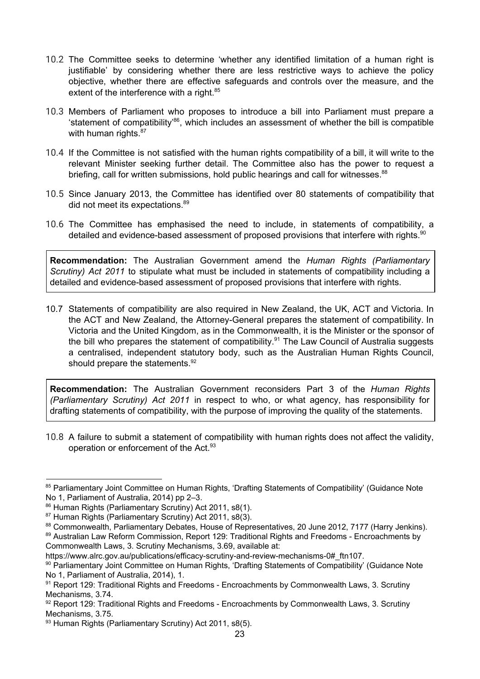- 10.2 The Committee seeks to determine 'whether any identified limitation of a human right is justifiable' by considering whether there are less restrictive ways to achieve the policy objective, whether there are effective safeguards and controls over the measure, and the extent of the interference with a right.<sup>85</sup>
- 10.3 Members of Parliament who proposes to introduce a bill into Parliament must prepare a 'statement of compatibility<sup>86</sup>, which includes an assessment of whether the bill is compatible with human rights.<sup>87</sup>
- 10.4 If the Committee is not satisfied with the human rights compatibility of a bill, it will write to the relevant Minister seeking further detail. The Committee also has the power to request a briefing, call for written submissions, hold public hearings and call for witnesses.<sup>88</sup>
- 10.5 Since January 2013, the Committee has identified over 80 statements of compatibility that did not meet its expectations. 89
- 10.6 The Committee has emphasised the need to include, in statements of compatibility, a detailed and evidence-based assessment of proposed provisions that interfere with rights. $90$

**Recommendation:** The Australian Government amend the *Human Rights (Parliamentary Scrutiny) Act 2011* to stipulate what must be included in statements of compatibility including a detailed and evidence-based assessment of proposed provisions that interfere with rights.

10.7 Statements of compatibility are also required in New Zealand, the UK, ACT and Victoria. In the ACT and New Zealand, the Attorney-General prepares the statement of compatibility. In Victoria and the United Kingdom, as in the Commonwealth, it is the Minister or the sponsor of the bill who prepares the statement of compatibility.<sup>91</sup> The Law Council of Australia suggests a centralised, independent statutory body, such as the Australian Human Rights Council, should prepare the statements.<sup>92</sup>

**Recommendation:** The Australian Government reconsiders Part 3 of the *Human Rights (Parliamentary Scrutiny) Act 2011* in respect to who, or what agency, has responsibility for drafting statements of compatibility, with the purpose of improving the quality of the statements.

10.8 A failure to submit a statement of compatibility with human rights does not affect the validity, operation or enforcement of the Act.<sup>93</sup>

Commonwealth Laws, 3. Scrutiny Mechanisms, 3.69, available at:

[https://www.alrc.gov.au/publications/efficacy-scrutiny-and-review-mechanisms-0#\\_ftn107.](https://www.alrc.gov.au/publications/efficacy-scrutiny-and-review-mechanisms-0#_ftn107)

<sup>85</sup> Parliamentary Joint Committee on Human Rights, 'Drafting Statements of Compatibility' (Guidance Note No 1, Parliament of Australia, 2014) pp 2–3.

<sup>86</sup> Human Rights (Parliamentary Scrutiny) Act 2011, s8(1).

<sup>87</sup> Human Rights (Parliamentary Scrutiny) Act 2011, s8(3).

<sup>88</sup> Commonwealth, Parliamentary Debates, House of Representatives, 20 June 2012, 7177 (Harry Jenkins). 89 Australian Law Reform Commission, Report 129: Traditional Rights and Freedoms - Encroachments by

<sup>90</sup> Parliamentary Joint Committee on Human Rights, 'Drafting Statements of Compatibility' (Guidance Note No 1, Parliament of Australia, 2014), 1.

<sup>91</sup> Report 129: Traditional Rights and Freedoms - Encroachments by Commonwealth Laws, 3. Scrutiny Mechanisms, 3.74.

 $92$  Report 129: Traditional Rights and Freedoms - Encroachments by Commonwealth Laws, 3. Scrutiny Mechanisms, 3.75.

<sup>93</sup> Human Rights (Parliamentary Scrutiny) Act 2011, s8(5).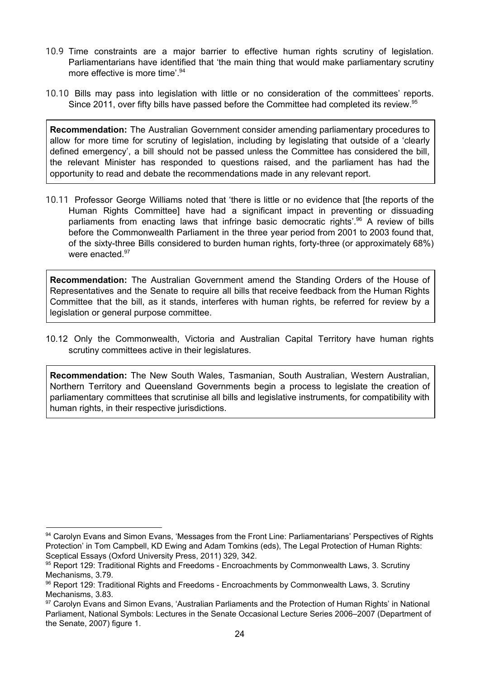- 10.9 Time constraints are a major barrier to effective human rights scrutiny of legislation. Parliamentarians have identified that 'the main thing that would make parliamentary scrutiny more effective is more time'. 94
- 10.10 Bills may pass into legislation with little or no consideration of the committees' reports. Since 2011, over fifty bills have passed before the Committee had completed its review.<sup>95</sup>

**Recommendation:** The Australian Government consider amending parliamentary procedures to allow for more time for scrutiny of legislation, including by legislating that outside of a 'clearly defined emergency', a bill should not be passed unless the Committee has considered the bill, the relevant Minister has responded to questions raised, and the parliament has had the opportunity to read and debate the recommendations made in any relevant report.

10.11 Professor George Williams noted that 'there is little or no evidence that [the reports of the Human Rights Committee] have had a significant impact in preventing or dissuading parliaments from enacting laws that infringe basic democratic rights'.<sup>96</sup> A review of bills before the Commonwealth Parliament in the three year period from 2001 to 2003 found that, of the sixty-three Bills considered to burden human rights, forty-three (or approximately 68%) were enacted.<sup>97</sup>

**Recommendation:** The Australian Government amend the Standing Orders of the House of Representatives and the Senate to require all bills that receive feedback from the Human Rights Committee that the bill, as it stands, interferes with human rights, be referred for review by a legislation or general purpose committee.

10.12 Only the Commonwealth, Victoria and Australian Capital Territory have human rights scrutiny committees active in their legislatures.

**Recommendation:** The New South Wales, Tasmanian, South Australian, Western Australian, Northern Territory and Queensland Governments begin a process to legislate the creation of parliamentary committees that scrutinise all bills and legislative instruments, for compatibility with human rights, in their respective jurisdictions.

<sup>94</sup> Carolyn Evans and Simon Evans, 'Messages from the Front Line: Parliamentarians' Perspectives of Rights Protection' in Tom Campbell, KD Ewing and Adam Tomkins (eds), The Legal Protection of Human Rights: Sceptical Essays (Oxford University Press, 2011) 329, 342.

<sup>95</sup> Report 129: Traditional Rights and Freedoms - Encroachments by Commonwealth Laws, 3. Scrutiny Mechanisms, 3.79.

<sup>96</sup> Report 129: Traditional Rights and Freedoms - Encroachments by Commonwealth Laws, 3. Scrutiny Mechanisms, 3.83.

<sup>97</sup> Carolyn Evans and Simon Evans, 'Australian Parliaments and the Protection of Human Rights' in National Parliament, National Symbols: Lectures in the Senate Occasional Lecture Series 2006–2007 (Department of the Senate, 2007) figure 1.